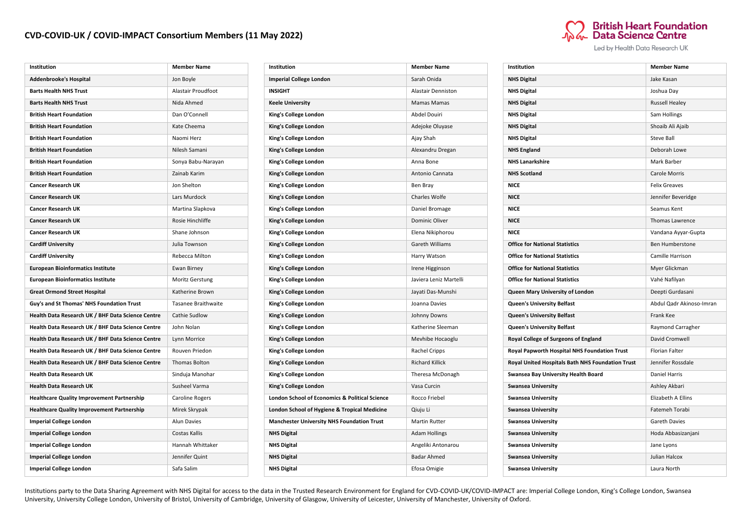## **CVD-COVID-UK / COVID-IMPACT Consortium Members (11 May 2022)**



| Institution                                       | <b>Member Name</b>        |
|---------------------------------------------------|---------------------------|
| <b>Imperial College London</b>                    | Sarah Onida               |
| <b>INSIGHT</b>                                    | <b>Alastair Denniston</b> |
| <b>Keele University</b>                           | <b>Mamas Mamas</b>        |
| King's College London                             | Abdel Douiri              |
| King's College London                             | Adejoke Oluyase           |
| King's College London                             | Ajay Shah                 |
| King's College London                             | Alexandru Dregan          |
| King's College London                             | Anna Bone                 |
| King's College London                             | Antonio Cannata           |
| King's College London                             | Ben Bray                  |
| King's College London                             | Charles Wolfe             |
| King's College London                             | Daniel Bromage            |
| King's College London                             | Dominic Oliver            |
| King's College London                             | Elena Nikiphorou          |
| King's College London                             | Gareth Williams           |
| King's College London                             | Harry Watson              |
| King's College London                             | Irene Higginson           |
| King's College London                             | Javiera Leniz Martelli    |
| King's College London                             | Jayati Das-Munshi         |
| King's College London                             | Joanna Davies             |
| King's College London                             | Johnny Downs              |
| King's College London                             | Katherine Sleeman         |
| King's College London                             | Mevhibe Hocaoglu          |
| King's College London                             | Rachel Cripps             |
| King's College London                             | <b>Richard Killick</b>    |
| King's College London                             | Theresa McDonagh          |
| King's College London                             | Vasa Curcin               |
| London School of Economics & Political Science    | Rocco Friebel             |
| London School of Hygiene & Tropical Medicine      | Qiuju Li                  |
| <b>Manchester University NHS Foundation Trust</b> | Martin Rutter             |
| <b>NHS Digital</b>                                | <b>Adam Hollings</b>      |
| <b>NHS Digital</b>                                | Angeliki Antonarou        |
| <b>NHS Digital</b>                                | <b>Badar Ahmed</b>        |
| <b>NHS Digital</b>                                | Efosa Omigie              |



Led by Health Data Research UK

| Institution                                      | <b>Member Name</b>       |
|--------------------------------------------------|--------------------------|
| <b>NHS Digital</b>                               | Jake Kasan               |
| <b>NHS Digital</b>                               | Joshua Day               |
| <b>NHS Digital</b>                               | <b>Russell Healey</b>    |
| <b>NHS Digital</b>                               | Sam Hollings             |
| <b>NHS Digital</b>                               | Shoaib Ali Ajaib         |
| <b>NHS Digital</b>                               | <b>Steve Ball</b>        |
| <b>NHS England</b>                               | Deborah Lowe             |
| <b>NHS Lanarkshire</b>                           | Mark Barber              |
| <b>NHS Scotland</b>                              | Carole Morris            |
| <b>NICE</b>                                      | <b>Felix Greaves</b>     |
| <b>NICE</b>                                      | Jennifer Beveridge       |
| <b>NICE</b>                                      | Seamus Kent              |
| <b>NICE</b>                                      | Thomas Lawrence          |
| <b>NICE</b>                                      | Vandana Ayyar-Gupta      |
| <b>Office for National Statistics</b>            | <b>Ben Humberstone</b>   |
| <b>Office for National Statistics</b>            | Camille Harrison         |
| <b>Office for National Statistics</b>            | Myer Glickman            |
| <b>Office for National Statistics</b>            | Vahé Nafilyan            |
| Queen Mary University of London                  | Deepti Gurdasani         |
| <b>Queen's University Belfast</b>                | Abdul Qadr Akinoso-Imran |
| <b>Queen's University Belfast</b>                | Frank Kee                |
| Queen's University Belfast                       | Raymond Carragher        |
| Royal College of Surgeons of England             | David Cromwell           |
| Royal Papworth Hospital NHS Foundation Trust     | <b>Florian Falter</b>    |
| Royal United Hospitals Bath NHS Foundation Trust | Jennifer Rossdale        |
| Swansea Bay University Health Board              | <b>Daniel Harris</b>     |
| <b>Swansea University</b>                        | Ashley Akbari            |
| <b>Swansea University</b>                        | Elizabeth A Ellins       |
| <b>Swansea University</b>                        | Fatemeh Torabi           |
| <b>Swansea University</b>                        | Gareth Davies            |
| <b>Swansea University</b>                        | Hoda Abbasizanjani       |
| <b>Swansea University</b>                        | Jane Lyons               |
| <b>Swansea University</b>                        | <b>Julian Halcox</b>     |
| <b>Swansea University</b>                        | Laura North              |

Institutions party to the Data Sharing Agreement with NHS Digital for access to the data in the Trusted Research Environment for England for CVD-COVID-UK/COVID-IMPACT are: Imperial College London, King's College London, Sw University, University College London, University of Bristol, University of Cambridge, University of Glasgow, University of Leicester, University of Manchester, University of Oxford.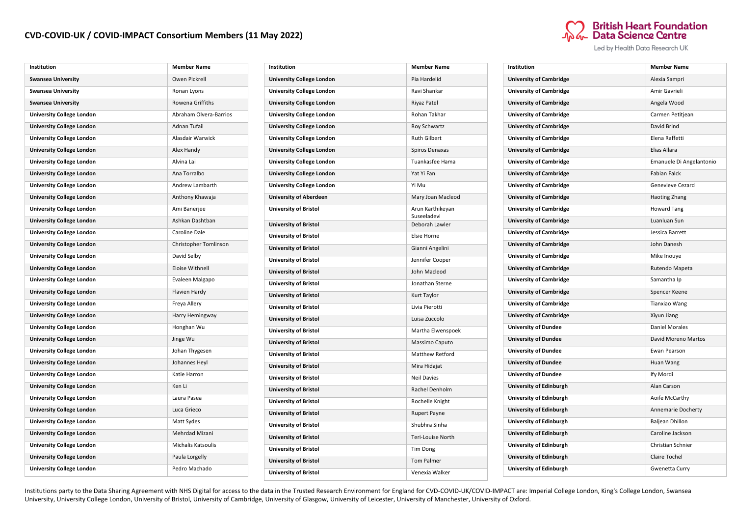## **CVD-COVID-UK / COVID-IMPACT Consortium Members (11 May 2022)**



Led by Health Data Research UK

| <b>Institution</b>               | <b>Member Name</b>     |
|----------------------------------|------------------------|
| <b>Swansea University</b>        | Owen Pickrell          |
| <b>Swansea University</b>        | Ronan Lyons            |
| <b>Swansea University</b>        | Rowena Griffiths       |
| <b>University College London</b> | Abraham Olvera-Barrios |
| <b>University College London</b> | <b>Adnan Tufail</b>    |
| <b>University College London</b> | Alasdair Warwick       |
| <b>University College London</b> | Alex Handy             |
| <b>University College London</b> | Alvina Lai             |
| <b>University College London</b> | Ana Torralbo           |
| <b>University College London</b> | Andrew Lambarth        |
| <b>University College London</b> | Anthony Khawaja        |
| <b>University College London</b> | Ami Banerjee           |
| <b>University College London</b> | Ashkan Dashtban        |
| <b>University College London</b> | Caroline Dale          |
| <b>University College London</b> | Christopher Tomlinson  |
| <b>University College London</b> | David Selby            |
| <b>University College London</b> | <b>Eloise Withnell</b> |
| <b>University College London</b> | Evaleen Malgapo        |
| <b>University College London</b> | Flavien Hardy          |
| <b>University College London</b> | Freya Allery           |
| <b>University College London</b> | Harry Hemingway        |
| <b>University College London</b> | Honghan Wu             |
| <b>University College London</b> | Jinge Wu               |
| <b>University College London</b> | Johan Thygesen         |
| <b>University College London</b> | Johannes Heyl          |
| <b>University College London</b> | Katie Harron           |
| <b>University College London</b> | Ken Li                 |
| <b>University College London</b> | Laura Pasea            |
| <b>University College London</b> | Luca Grieco            |
| <b>University College London</b> | Matt Sydes             |
| <b>University College London</b> | Mehrdad Mizani         |
| <b>University College London</b> | Michalis Katsoulis     |
| <b>University College London</b> | Paula Lorgelly         |
| <b>University College London</b> | Pedro Machado          |

| Institution                      | <b>Member Name</b>            |
|----------------------------------|-------------------------------|
| <b>University College London</b> | Pia Hardelid                  |
| <b>University College London</b> | Ravi Shankar                  |
| <b>University College London</b> | Riyaz Patel                   |
| <b>University College London</b> | Rohan Takhar                  |
| <b>University College London</b> | Roy Schwartz                  |
| <b>University College London</b> | <b>Ruth Gilbert</b>           |
| <b>University College London</b> | Spiros Denaxas                |
| <b>University College London</b> | Tuankasfee Hama               |
| <b>University College London</b> | Yat Yi Fan                    |
| <b>University College London</b> | Yi Mu                         |
| <b>University of Aberdeen</b>    | Mary Joan Macleod             |
| <b>University of Bristol</b>     | Arun Karthikeyan              |
| <b>University of Bristol</b>     | Suseeladevi<br>Deborah Lawler |
| <b>University of Bristol</b>     | Elsie Horne                   |
| <b>University of Bristol</b>     | Gianni Angelini               |
| <b>University of Bristol</b>     | Jennifer Cooper               |
| <b>University of Bristol</b>     | John Macleod                  |
| <b>University of Bristol</b>     | Jonathan Sterne               |
| <b>University of Bristol</b>     | Kurt Taylor                   |
| <b>University of Bristol</b>     | Livia Pierotti                |
| <b>University of Bristol</b>     | Luisa Zuccolo                 |
| <b>University of Bristol</b>     | Martha Elwenspoek             |
| <b>University of Bristol</b>     | Massimo Caputo                |
| University of Bristol            | <b>Matthew Retford</b>        |
| <b>University of Bristol</b>     | Mira Hidajat                  |
| <b>University of Bristol</b>     | <b>Neil Davies</b>            |
| <b>University of Bristol</b>     | Rachel Denholm                |
| <b>University of Bristol</b>     | Rochelle Knight               |
| <b>University of Bristol</b>     | <b>Rupert Payne</b>           |
| <b>University of Bristol</b>     | Shubhra Sinha                 |
| <b>University of Bristol</b>     | Teri-Louise North             |
| <b>University of Bristol</b>     | Tim Dong                      |
| <b>University of Bristol</b>     | <b>Tom Palmer</b>             |
| <b>University of Bristol</b>     | Venexia Walker                |

| Institution                    | <b>Member Name</b>       |
|--------------------------------|--------------------------|
| <b>University of Cambridge</b> | Alexia Sampri            |
| <b>University of Cambridge</b> | Amir Gavrieli            |
| <b>University of Cambridge</b> | Angela Wood              |
| <b>University of Cambridge</b> | Carmen Petitjean         |
| <b>University of Cambridge</b> | David Brind              |
| <b>University of Cambridge</b> | Elena Raffetti           |
| <b>University of Cambridge</b> | Elias Allara             |
| <b>University of Cambridge</b> | Emanuele Di Angelantonio |
| <b>University of Cambridge</b> | <b>Fabian Falck</b>      |
| <b>University of Cambridge</b> | Genevieve Cezard         |
| <b>University of Cambridge</b> | <b>Haoting Zhang</b>     |
| <b>University of Cambridge</b> | <b>Howard Tang</b>       |
| <b>University of Cambridge</b> | Luanluan Sun             |
| <b>University of Cambridge</b> | Jessica Barrett          |
| <b>University of Cambridge</b> | John Danesh              |
| <b>University of Cambridge</b> | Mike Inouye              |
| <b>University of Cambridge</b> | Rutendo Mapeta           |
| <b>University of Cambridge</b> | Samantha Ip              |
| <b>University of Cambridge</b> | Spencer Keene            |
| <b>University of Cambridge</b> | <b>Tianxiao Wang</b>     |
| <b>University of Cambridge</b> | Xiyun Jiang              |
| <b>University of Dundee</b>    | <b>Daniel Morales</b>    |
| <b>University of Dundee</b>    | David Moreno Martos      |
| <b>University of Dundee</b>    | Ewan Pearson             |
| <b>University of Dundee</b>    | Huan Wang                |
| <b>University of Dundee</b>    | Ify Mordi                |
| University of Edinburgh        | Alan Carson              |
| University of Edinburgh        | Aoife McCarthy           |
| University of Edinburgh        | Annemarie Docherty       |
| University of Edinburgh        | Baljean Dhillon          |
| University of Edinburgh        | Caroline Jackson         |
| University of Edinburgh        | Christian Schnier        |
| University of Edinburgh        | Claire Tochel            |
| University of Edinburgh        | Gwenetta Curry           |

Institutions party to the Data Sharing Agreement with NHS Digital for access to the data in the Trusted Research Environment for England for CVD-COVID-UK/COVID-IMPACT are: Imperial College London, King's College London, Sw University, University College London, University of Bristol, University of Cambridge, University of Glasgow, University of Leicester, University of Manchester, University of Oxford.